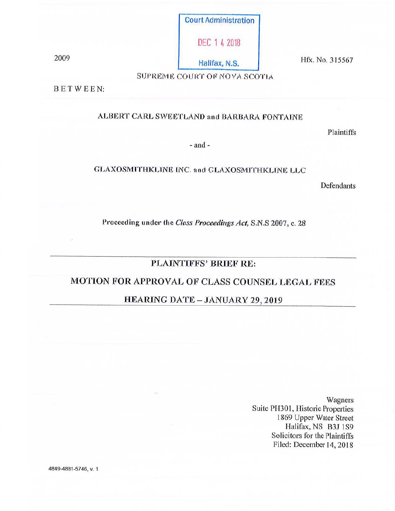Court Administration

DEC 1 4 2018

2009 Halifax, N.S. Hfx. No. 315567

SUPREME COURT OF NOVA SCOTIA

BETWEEN:

### ALBERT CARL SWEETLAND and BARBARA FONTAINE

Plaintiffs

- and -

#### GLAXOSMITHKLINE INC. and GLAXOSMITHKLINE LLC

Defendants

Proceeding under the *Closs Proceedings Act,* S.N.S 2007, c. 28

# PLAINTIFFS' BRIEF RE:

# MOTION FOR APPROVAL OF CLASS COUNSEL LEGAL FEES

# HEARING DATE - JANUARY 29, 2019

Wagners Suite PH301, Historic Properties 1869 Upper Water Street Halifax, NS B3J 1S9 Solicitors for the Plaintiffs Filed: December 14, 2018

4849-4881-5746, V. 1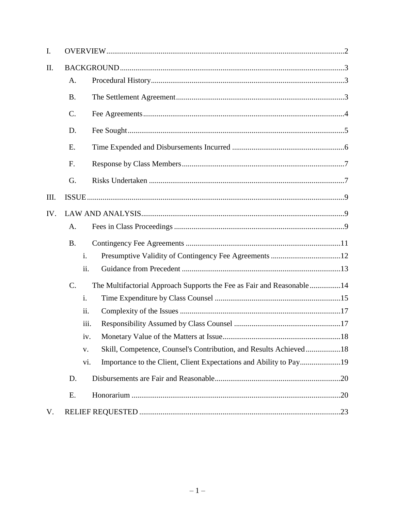| I.   |                 |                |                                                                       |  |
|------|-----------------|----------------|-----------------------------------------------------------------------|--|
| II.  |                 |                |                                                                       |  |
|      | A.              |                |                                                                       |  |
|      | <b>B.</b>       |                |                                                                       |  |
|      | $\mathcal{C}$ . |                |                                                                       |  |
|      | D.              |                |                                                                       |  |
|      | Ε.              |                |                                                                       |  |
|      | F.              |                |                                                                       |  |
|      | G.              |                |                                                                       |  |
| III. |                 |                |                                                                       |  |
| IV.  |                 |                |                                                                       |  |
|      | А.              |                |                                                                       |  |
|      | <b>B.</b>       |                |                                                                       |  |
|      |                 | $\mathbf{i}$ . |                                                                       |  |
|      |                 | ii.            |                                                                       |  |
|      | C.              |                | The Multifactorial Approach Supports the Fee as Fair and Reasonable14 |  |
|      |                 | $\mathbf{i}$ . |                                                                       |  |
|      |                 | ii.            |                                                                       |  |
|      |                 | iii.           |                                                                       |  |
|      |                 | iv.            |                                                                       |  |
|      |                 | V.             | Skill, Competence, Counsel's Contribution, and Results Achieved18     |  |
|      |                 | V1.            |                                                                       |  |
|      | D.              |                |                                                                       |  |
|      | Ε.              |                |                                                                       |  |
| V.   |                 |                |                                                                       |  |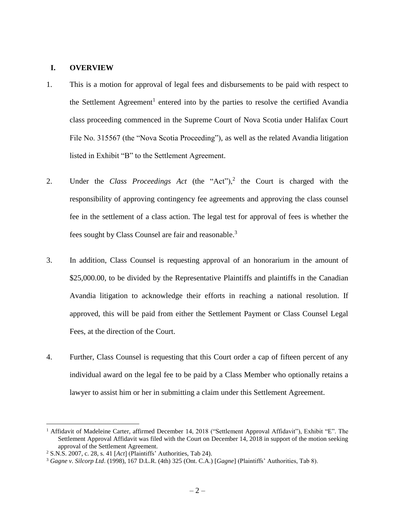#### <span id="page-2-0"></span>**I. OVERVIEW**

- 1. This is a motion for approval of legal fees and disbursements to be paid with respect to the Settlement Agreement<sup>1</sup> entered into by the parties to resolve the certified Avandia class proceeding commenced in the Supreme Court of Nova Scotia under Halifax Court File No. 315567 (the "Nova Scotia Proceeding"), as well as the related Avandia litigation listed in Exhibit "B" to the Settlement Agreement.
- 2. Under the *Class Proceedings Act* (the "Act"),<sup>2</sup> the Court is charged with the responsibility of approving contingency fee agreements and approving the class counsel fee in the settlement of a class action. The legal test for approval of fees is whether the fees sought by Class Counsel are fair and reasonable.<sup>3</sup>
- 3. In addition, Class Counsel is requesting approval of an honorarium in the amount of \$25,000.00, to be divided by the Representative Plaintiffs and plaintiffs in the Canadian Avandia litigation to acknowledge their efforts in reaching a national resolution. If approved, this will be paid from either the Settlement Payment or Class Counsel Legal Fees, at the direction of the Court.
- 4. Further, Class Counsel is requesting that this Court order a cap of fifteen percent of any individual award on the legal fee to be paid by a Class Member who optionally retains a lawyer to assist him or her in submitting a claim under this Settlement Agreement.

<sup>&</sup>lt;sup>1</sup> Affidavit of Madeleine Carter, affirmed December 14, 2018 ("Settlement Approval Affidavit"), Exhibit "E". The Settlement Approval Affidavit was filed with the Court on December 14, 2018 in support of the motion seeking approval of the Settlement Agreement.

<sup>2</sup> S.N.S. 2007, c. 28, s. 41 [*Act*] (Plaintiffs' Authorities, Tab 24).

<sup>3</sup> *Gagne v. Silcorp Ltd*. (1998), 167 D.L.R. (4th) 325 (Ont. C.A.) [*Gagne*] (Plaintiffs' Authorities, Tab 8).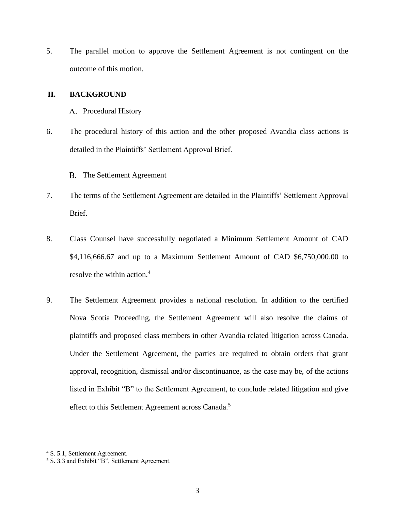5. The parallel motion to approve the Settlement Agreement is not contingent on the outcome of this motion.

#### <span id="page-3-1"></span><span id="page-3-0"></span>**II. BACKGROUND**

- A. Procedural History
- 6. The procedural history of this action and the other proposed Avandia class actions is detailed in the Plaintiffs' Settlement Approval Brief.

B. The Settlement Agreement

- <span id="page-3-2"></span>7. The terms of the Settlement Agreement are detailed in the Plaintiffs' Settlement Approval Brief.
- 8. Class Counsel have successfully negotiated a Minimum Settlement Amount of CAD \$4,116,666.67 and up to a Maximum Settlement Amount of CAD \$6,750,000.00 to resolve the within action.<sup>4</sup>
- 9. The Settlement Agreement provides a national resolution. In addition to the certified Nova Scotia Proceeding, the Settlement Agreement will also resolve the claims of plaintiffs and proposed class members in other Avandia related litigation across Canada. Under the Settlement Agreement, the parties are required to obtain orders that grant approval, recognition, dismissal and/or discontinuance, as the case may be, of the actions listed in Exhibit "B" to the Settlement Agreement, to conclude related litigation and give effect to this Settlement Agreement across Canada.<sup>5</sup>

<sup>4</sup> S. 5.1, Settlement Agreement.

<sup>5</sup> S. 3.3 and Exhibit "B", Settlement Agreement.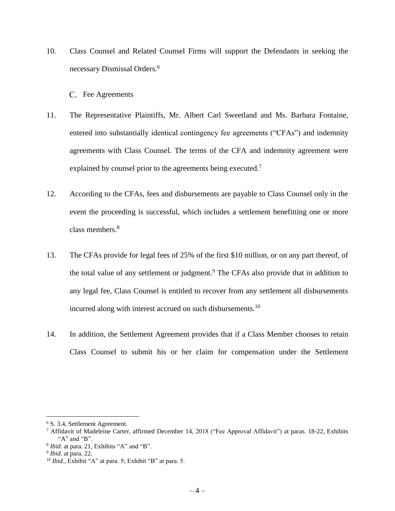- 10. Class Counsel and Related Counsel Firms will support the Defendants in seeking the necessary Dismissal Orders.<sup>6</sup>
	- C. Fee Agreements
- <span id="page-4-0"></span>11. The Representative Plaintiffs, Mr. Albert Carl Sweetland and Ms. Barbara Fontaine, entered into substantially identical contingency fee agreements ("CFAs") and indemnity agreements with Class Counsel. The terms of the CFA and indemnity agreement were explained by counsel prior to the agreements being executed.<sup>7</sup>
- 12. According to the CFAs, fees and disbursements are payable to Class Counsel only in the event the proceeding is successful, which includes a settlement benefitting one or more class members.<sup>8</sup>
- 13. The CFAs provide for legal fees of 25% of the first \$10 million, or on any part thereof, of the total value of any settlement or judgment.<sup>9</sup> The CFAs also provide that in addition to any legal fee, Class Counsel is entitled to recover from any settlement all disbursements incurred along with interest accrued on such disbursements.<sup>10</sup>
- 14. In addition, the Settlement Agreement provides that if a Class Member chooses to retain Class Counsel to submit his or her claim for compensation under the Settlement

<sup>6</sup> S. 3.4, Settlement Agreement.

<sup>7</sup> Affidavit of Madeleine Carter, affirmed December 14, 2018 ("Fee Approval Affidavit") at paras. 18-22, Exhibits "A" and "B".

<sup>&</sup>lt;sup>8</sup> *Ibid*. at para. 21, Exhibits "A" and "B".

<sup>9</sup> *Ibid*. at para. 22.

<sup>10</sup> *Ibid*., Exhibit "A" at para. 5; Exhibit "B" at para. 5.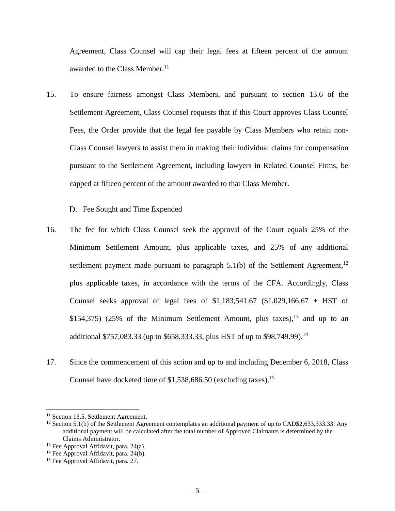Agreement, Class Counsel will cap their legal fees at fifteen percent of the amount awarded to the Class Member.<sup>11</sup>

- 15. To ensure fairness amongst Class Members, and pursuant to section 13.6 of the Settlement Agreement, Class Counsel requests that if this Court approves Class Counsel Fees, the Order provide that the legal fee payable by Class Members who retain non-Class Counsel lawyers to assist them in making their individual claims for compensation pursuant to the Settlement Agreement, including lawyers in Related Counsel Firms, be capped at fifteen percent of the amount awarded to that Class Member.
	- D. Fee Sought and Time Expended
- <span id="page-5-0"></span>16. The fee for which Class Counsel seek the approval of the Court equals 25% of the Minimum Settlement Amount, plus applicable taxes, and 25% of any additional settlement payment made pursuant to paragraph  $5.1(b)$  of the Settlement Agreement,<sup>12</sup> plus applicable taxes, in accordance with the terms of the CFA. Accordingly, Class Counsel seeks approval of legal fees of \$1,183,541.67 (\$1,029,166.67 + HST of \$154,375) (25% of the Minimum Settlement Amount, plus taxes),  $13$  and up to an additional \$757,083.33 (up to \$658,333.33, plus HST of up to \$98,749.99).<sup>14</sup>
- 17. Since the commencement of this action and up to and including December 6, 2018, Class Counsel have docketed time of \$1,538,686.50 (excluding taxes). 15

<sup>&</sup>lt;sup>11</sup> Section 13.5, Settlement Agreement.

<sup>&</sup>lt;sup>12</sup> Section 5.1(b) of the Settlement Agreement contemplates an additional payment of up to CAD\$2,633,333.33. Any additional payment will be calculated after the total number of Approved Claimants is determined by the Claims Administrator.

<sup>&</sup>lt;sup>13</sup> Fee Approval Affidavit, para.  $24(a)$ .

<sup>&</sup>lt;sup>14</sup> Fee Approval Affidavit, para. 24(b).

<sup>&</sup>lt;sup>15</sup> Fee Approval Affidavit, para. 27.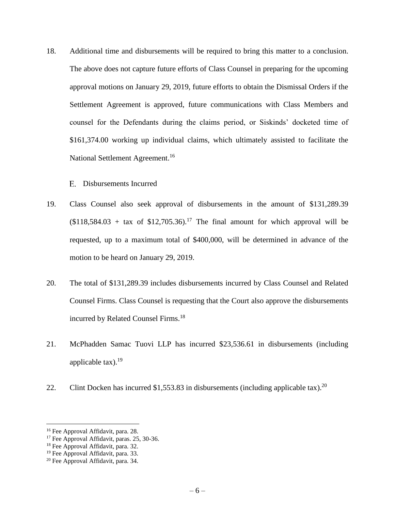- 18. Additional time and disbursements will be required to bring this matter to a conclusion. The above does not capture future efforts of Class Counsel in preparing for the upcoming approval motions on January 29, 2019, future efforts to obtain the Dismissal Orders if the Settlement Agreement is approved, future communications with Class Members and counsel for the Defendants during the claims period, or Siskinds' docketed time of \$161,374.00 working up individual claims, which ultimately assisted to facilitate the National Settlement Agreement.<sup>16</sup>
	- Disbursements Incurred
- <span id="page-6-0"></span>19. Class Counsel also seek approval of disbursements in the amount of \$131,289.39  $($118,584.03 + tax of $12,705.36).$ <sup>17</sup> The final amount for which approval will be requested, up to a maximum total of \$400,000, will be determined in advance of the motion to be heard on January 29, 2019.
- 20. The total of \$131,289.39 includes disbursements incurred by Class Counsel and Related Counsel Firms. Class Counsel is requesting that the Court also approve the disbursements incurred by Related Counsel Firms.<sup>18</sup>
- 21. McPhadden Samac Tuovi LLP has incurred \$23,536.61 in disbursements (including applicable tax). 19
- 22. Clint Docken has incurred \$1,553.83 in disbursements (including applicable tax).<sup>20</sup>

<sup>16</sup> Fee Approval Affidavit, para. 28.

<sup>&</sup>lt;sup>17</sup> Fee Approval Affidavit, paras. 25, 30-36.

<sup>&</sup>lt;sup>18</sup> Fee Approval Affidavit, para. 32.

<sup>&</sup>lt;sup>19</sup> Fee Approval Affidavit, para. 33.

<sup>20</sup> Fee Approval Affidavit, para. 34.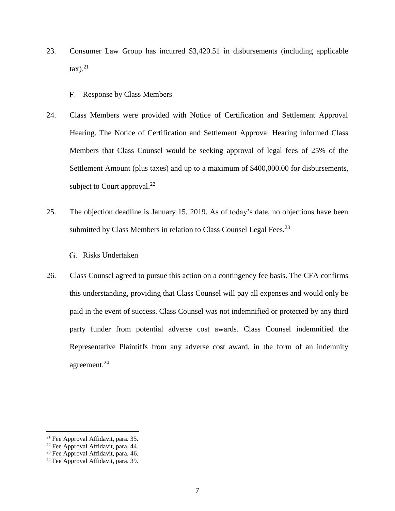- 23. Consumer Law Group has incurred \$3,420.51 in disbursements (including applicable  $\text{tax}).^{21}$ 
	- F. Response by Class Members
- <span id="page-7-0"></span>24. Class Members were provided with Notice of Certification and Settlement Approval Hearing. The Notice of Certification and Settlement Approval Hearing informed Class Members that Class Counsel would be seeking approval of legal fees of 25% of the Settlement Amount (plus taxes) and up to a maximum of \$400,000.00 for disbursements, subject to Court approval.<sup>22</sup>
- 25. The objection deadline is January 15, 2019. As of today's date, no objections have been submitted by Class Members in relation to Class Counsel Legal Fees.<sup>23</sup>
	- G. Risks Undertaken
- <span id="page-7-1"></span>26. Class Counsel agreed to pursue this action on a contingency fee basis. The CFA confirms this understanding, providing that Class Counsel will pay all expenses and would only be paid in the event of success. Class Counsel was not indemnified or protected by any third party funder from potential adverse cost awards. Class Counsel indemnified the Representative Plaintiffs from any adverse cost award, in the form of an indemnity agreement.<sup>24</sup>

<sup>21</sup> Fee Approval Affidavit, para. 35.

<sup>22</sup> Fee Approval Affidavit, para. 44.

<sup>&</sup>lt;sup>23</sup> Fee Approval Affidavit, para. 46.

<sup>&</sup>lt;sup>24</sup> Fee Approval Affidavit, para. 39.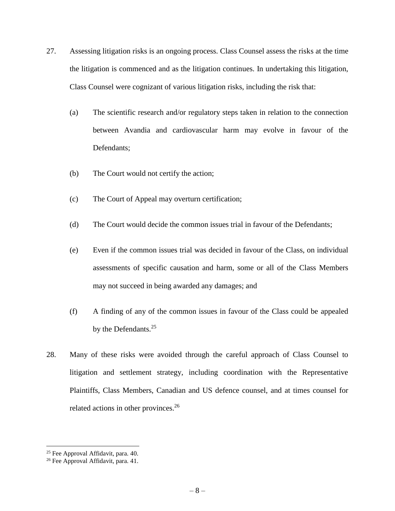- 27. Assessing litigation risks is an ongoing process. Class Counsel assess the risks at the time the litigation is commenced and as the litigation continues. In undertaking this litigation, Class Counsel were cognizant of various litigation risks, including the risk that:
	- (a) The scientific research and/or regulatory steps taken in relation to the connection between Avandia and cardiovascular harm may evolve in favour of the Defendants;
	- (b) The Court would not certify the action;
	- (c) The Court of Appeal may overturn certification;
	- (d) The Court would decide the common issues trial in favour of the Defendants;
	- (e) Even if the common issues trial was decided in favour of the Class, on individual assessments of specific causation and harm, some or all of the Class Members may not succeed in being awarded any damages; and
	- (f) A finding of any of the common issues in favour of the Class could be appealed by the Defendants.<sup>25</sup>
- 28. Many of these risks were avoided through the careful approach of Class Counsel to litigation and settlement strategy, including coordination with the Representative Plaintiffs, Class Members, Canadian and US defence counsel, and at times counsel for related actions in other provinces.<sup>26</sup>

<sup>&</sup>lt;sup>25</sup> Fee Approval Affidavit, para. 40.

<sup>&</sup>lt;sup>26</sup> Fee Approval Affidavit, para. 41.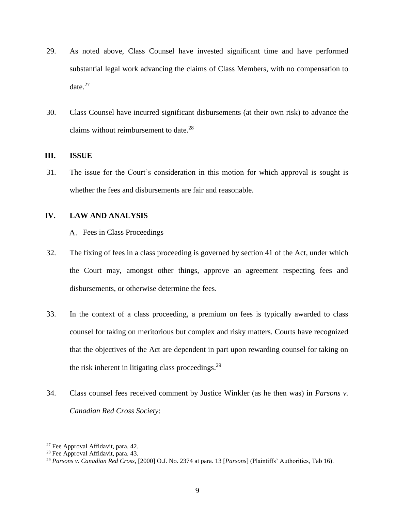- 29. As noted above, Class Counsel have invested significant time and have performed substantial legal work advancing the claims of Class Members, with no compensation to date. $27$
- 30. Class Counsel have incurred significant disbursements (at their own risk) to advance the claims without reimbursement to date.<sup>28</sup>

#### <span id="page-9-0"></span>**III. ISSUE**

31. The issue for the Court's consideration in this motion for which approval is sought is whether the fees and disbursements are fair and reasonable.

#### <span id="page-9-2"></span><span id="page-9-1"></span>**IV. LAW AND ANALYSIS**

A. Fees in Class Proceedings

- 32. The fixing of fees in a class proceeding is governed by section 41 of the Act, under which the Court may, amongst other things, approve an agreement respecting fees and disbursements, or otherwise determine the fees.
- 33. In the context of a class proceeding, a premium on fees is typically awarded to class counsel for taking on meritorious but complex and risky matters. Courts have recognized that the objectives of the Act are dependent in part upon rewarding counsel for taking on the risk inherent in litigating class proceedings.<sup>29</sup>
- 34. Class counsel fees received comment by Justice Winkler (as he then was) in *Parsons v. Canadian Red Cross Society*:

<sup>27</sup> Fee Approval Affidavit, para. 42.

<sup>28</sup> Fee Approval Affidavit, para. 43.

<sup>29</sup> *Parsons v. Canadian Red Cross*, [2000] O.J. No. 2374 at para. 13 [*Parsons*] (Plaintiffs' Authorities, Tab 16).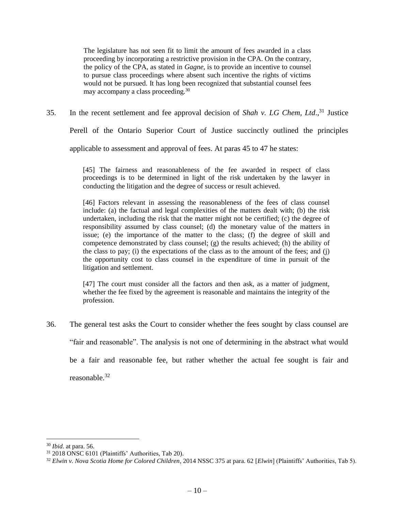The legislature has not seen fit to limit the amount of fees awarded in a class proceeding by incorporating a restrictive provision in the CPA. On the contrary, the policy of the CPA, as stated in *Gagne*, is to provide an incentive to counsel to pursue class proceedings where absent such incentive the rights of victims would not be pursued. It has long been recognized that substantial counsel fees may accompany a class proceeding.<sup>30</sup>

35. In the recent settlement and fee approval decision of *Shah v. LG Chem, Ltd*., <sup>31</sup> Justice

Perell of the Ontario Superior Court of Justice succinctly outlined the principles

applicable to assessment and approval of fees. At paras 45 to 47 he states:

[45] The fairness and reasonableness of the fee awarded in respect of class proceedings is to be determined in light of the risk undertaken by the lawyer in conducting the litigation and the degree of success or result achieved.

[46] Factors relevant in assessing the reasonableness of the fees of class counsel include: (a) the factual and legal complexities of the matters dealt with; (b) the risk undertaken, including the risk that the matter might not be certified; (c) the degree of responsibility assumed by class counsel; (d) the monetary value of the matters in issue; (e) the importance of the matter to the class; (f) the degree of skill and competence demonstrated by class counsel; (g) the results achieved; (h) the ability of the class to pay; (i) the expectations of the class as to the amount of the fees; and (j) the opportunity cost to class counsel in the expenditure of time in pursuit of the litigation and settlement.

[47] The court must consider all the factors and then ask, as a matter of judgment, whether the fee fixed by the agreement is reasonable and maintains the integrity of the profession.

36. The general test asks the Court to consider whether the fees sought by class counsel are "fair and reasonable". The analysis is not one of determining in the abstract what would be a fair and reasonable fee, but rather whether the actual fee sought is fair and reasonable. 32

<sup>30</sup> *Ibid*. at para. 56.

<sup>31</sup> 2018 ONSC 6101 (Plaintiffs' Authorities, Tab 20).

<sup>32</sup> *Elwin v. Nova Scotia Home for Colored Children*, 2014 NSSC 375 at para. 62 [*Elwin*] (Plaintiffs' Authorities, Tab 5).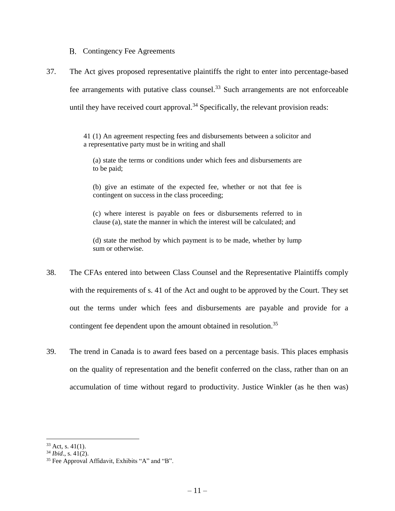B. Contingency Fee Agreements

<span id="page-11-0"></span>37. The Act gives proposed representative plaintiffs the right to enter into percentage-based fee arrangements with putative class counsel.<sup>33</sup> Such arrangements are not enforceable until they have received court approval.<sup>34</sup> Specifically, the relevant provision reads:

> 41 (1) An agreement respecting fees and disbursements between a solicitor and a representative party must be in writing and shall

(a) state the terms or conditions under which fees and disbursements are to be paid;

(b) give an estimate of the expected fee, whether or not that fee is contingent on success in the class proceeding;

(c) where interest is payable on fees or disbursements referred to in clause (a), state the manner in which the interest will be calculated; and

(d) state the method by which payment is to be made, whether by lump sum or otherwise.

- 38. The CFAs entered into between Class Counsel and the Representative Plaintiffs comply with the requirements of s. 41 of the Act and ought to be approved by the Court. They set out the terms under which fees and disbursements are payable and provide for a contingent fee dependent upon the amount obtained in resolution.<sup>35</sup>
- 39. The trend in Canada is to award fees based on a percentage basis. This places emphasis on the quality of representation and the benefit conferred on the class, rather than on an accumulation of time without regard to productivity. Justice Winkler (as he then was)

 $33$  Act, s. 41(1).

<sup>34</sup> *Ibid*., s. 41(2).

<sup>35</sup> Fee Approval Affidavit, Exhibits "A" and "B".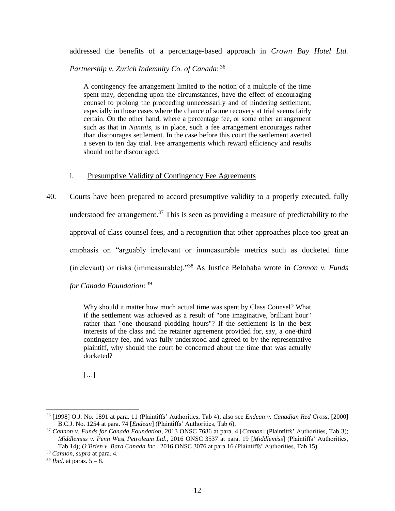addressed the benefits of a percentage-based approach in *Crown Bay Hotel Ltd.* 

*Partnership v. Zurich Indemnity Co. of Canada*: 36

A contingency fee arrangement limited to the notion of a multiple of the time spent may, depending upon the circumstances, have the effect of encouraging counsel to prolong the proceeding unnecessarily and of hindering settlement, especially in those cases where the chance of some recovery at trial seems fairly certain. On the other hand, where a percentage fee, or some other arrangement such as that in *Nantais*, is in place, such a fee arrangement encourages rather than discourages settlement. In the case before this court the settlement averted a seven to ten day trial. Fee arrangements which reward efficiency and results should not be discouraged.

#### i. Presumptive Validity of Contingency Fee Agreements

<span id="page-12-0"></span>40. Courts have been prepared to accord presumptive validity to a properly executed, fully understood fee arrangement.<sup>37</sup> This is seen as providing a measure of predictability to the approval of class counsel fees, and a recognition that other approaches place too great an emphasis on "arguably irrelevant or immeasurable metrics such as docketed time (irrelevant) or risks (immeasurable)."<sup>38</sup> As Justice Belobaba wrote in *Cannon v. Funds* 

*for Canada Foundation*: 39

Why should it matter how much actual time was spent by Class Counsel? What if the settlement was achieved as a result of "one imaginative, brilliant hour" rather than "one thousand plodding hours"? If the settlement is in the best interests of the class and the retainer agreement provided for, say, a one-third contingency fee, and was fully understood and agreed to by the representative plaintiff, why should the court be concerned about the time that was actually docketed?

[…]

<sup>36</sup> [1998] O.J. No. 1891 at para. 11 (Plaintiffs' Authorities, Tab 4); also see *Endean v. Canadian Red Cross*, [2000] B.C.J. No. 1254 at para. 74 [*Endean*] (Plaintiffs' Authorities, Tab 6).

<sup>37</sup> *Cannon v. Funds for Canada Foundation*, 2013 ONSC 7686 at para. 4 [*Cannon*] (Plaintiffs' Authorities, Tab 3); *Middlemiss v. Penn West Petroleum Ltd*., 2016 ONSC 3537 at para. 19 [*Middlemiss*] (Plaintiffs' Authorities, Tab 14); *O'Brien v. Bard Canada Inc*., 2016 ONSC 3076 at para 16 (Plaintiffs' Authorities, Tab 15).

<sup>38</sup> *Cannon*, *supra* at para. 4.

<sup>39</sup> *Ibid*. at paras. 5 – 8.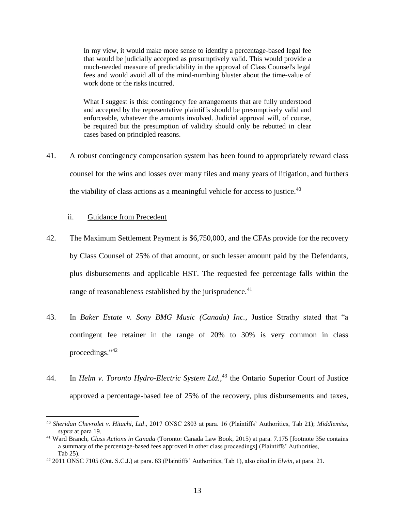In my view, it would make more sense to identify a percentage-based legal fee that would be judicially accepted as presumptively valid. This would provide a much-needed measure of predictability in the approval of Class Counsel's legal fees and would avoid all of the mind-numbing bluster about the time-value of work done or the risks incurred.

What I suggest is this: contingency fee arrangements that are fully understood and accepted by the representative plaintiffs should be presumptively valid and enforceable, whatever the amounts involved. Judicial approval will, of course, be required but the presumption of validity should only be rebutted in clear cases based on principled reasons.

41. A robust contingency compensation system has been found to appropriately reward class counsel for the wins and losses over many files and many years of litigation, and furthers the viability of class actions as a meaningful vehicle for access to justice. $40$ 

#### ii. Guidance from Precedent

- <span id="page-13-0"></span>42. The Maximum Settlement Payment is \$6,750,000, and the CFAs provide for the recovery by Class Counsel of 25% of that amount, or such lesser amount paid by the Defendants, plus disbursements and applicable HST. The requested fee percentage falls within the range of reasonableness established by the jurisprudence.<sup>41</sup>
- 43. In *Baker Estate v. Sony BMG Music (Canada) Inc.*, Justice Strathy stated that "a contingent fee retainer in the range of 20% to 30% is very common in class proceedings." 42
- 44. In *Helm v. Toronto Hydro-Electric System Ltd.*, <sup>43</sup> the Ontario Superior Court of Justice approved a percentage-based fee of 25% of the recovery, plus disbursements and taxes,

<sup>40</sup> *Sheridan Chevrolet v. Hitachi, Ltd*., 2017 ONSC 2803 at para. 16 (Plaintiffs' Authorities, Tab 21); *Middlemiss, supra* at para 19.

<sup>41</sup> Ward Branch, *Class Actions in Canada* (Toronto: Canada Law Book, 2015) at para. 7.175 [footnote 35e contains a summary of the percentage-based fees approved in other class proceedings] (Plaintiffs' Authorities, Tab 25).

<sup>42</sup> 2011 ONSC 7105 (Ont. S.C.J.) at para. 63 (Plaintiffs' Authorities, Tab 1), also cited in *Elwin,* at para. 21.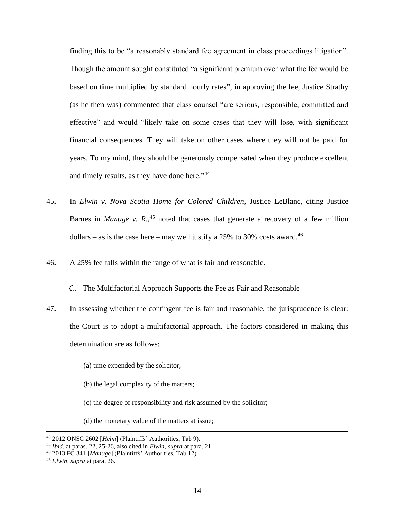finding this to be "a reasonably standard fee agreement in class proceedings litigation". Though the amount sought constituted "a significant premium over what the fee would be based on time multiplied by standard hourly rates", in approving the fee, Justice Strathy (as he then was) commented that class counsel "are serious, responsible, committed and effective" and would "likely take on some cases that they will lose, with significant financial consequences. They will take on other cases where they will not be paid for years. To my mind, they should be generously compensated when they produce excellent and timely results, as they have done here."<sup>44</sup>

- 45. In *Elwin v. Nova Scotia Home for Colored Children*, Justice LeBlanc, citing Justice Barnes in *Manuge v. R.*<sup>45</sup> noted that cases that generate a recovery of a few million dollars – as is the case here – may well justify a 25% to 30% costs award.<sup>46</sup>
- 46. A 25% fee falls within the range of what is fair and reasonable.

C. The Multifactorial Approach Supports the Fee as Fair and Reasonable

- <span id="page-14-0"></span>47. In assessing whether the contingent fee is fair and reasonable, the jurisprudence is clear: the Court is to adopt a multifactorial approach. The factors considered in making this determination are as follows:
	- (a) time expended by the solicitor;
	- (b) the legal complexity of the matters;
	- (c) the degree of responsibility and risk assumed by the solicitor;
	- (d) the monetary value of the matters at issue;

<sup>43</sup> 2012 ONSC 2602 [*Helm*] (Plaintiffs' Authorities, Tab 9).

<sup>44</sup> *Ibid*. at paras. 22, 25-26, also cited in *Elwin, supra* at para. 21.

<sup>45</sup> 2013 FC 341 [*Manuge*] (Plaintiffs' Authorities, Tab 12).

<sup>46</sup> *Elwin, supra* at para. 26.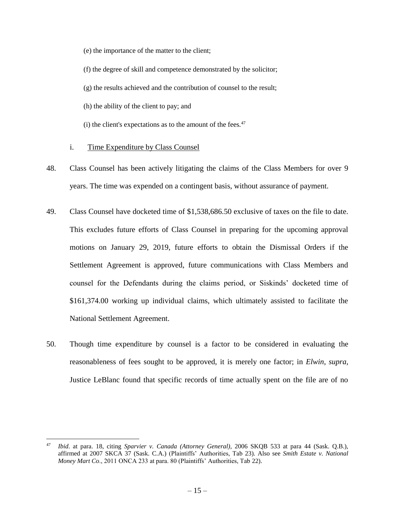(e) the importance of the matter to the client;

(f) the degree of skill and competence demonstrated by the solicitor;

(g) the results achieved and the contribution of counsel to the result;

(h) the ability of the client to pay; and

 $(i)$  the client's expectations as to the amount of the fees.<sup>47</sup>

#### i. Time Expenditure by Class Counsel

- <span id="page-15-0"></span>48. Class Counsel has been actively litigating the claims of the Class Members for over 9 years. The time was expended on a contingent basis, without assurance of payment.
- 49. Class Counsel have docketed time of \$1,538,686.50 exclusive of taxes on the file to date. This excludes future efforts of Class Counsel in preparing for the upcoming approval motions on January 29, 2019, future efforts to obtain the Dismissal Orders if the Settlement Agreement is approved, future communications with Class Members and counsel for the Defendants during the claims period, or Siskinds' docketed time of \$161,374.00 working up individual claims, which ultimately assisted to facilitate the National Settlement Agreement.
- 50. Though time expenditure by counsel is a factor to be considered in evaluating the reasonableness of fees sought to be approved, it is merely one factor; in *Elwin*, *supra*, Justice LeBlanc found that specific records of time actually spent on the file are of no

<sup>47</sup> *Ibid*. at para. 18, citing *Sparvier v. Canada (Attorney General)*, 2006 SKQB 533 at para 44 (Sask. Q.B.), affirmed at 2007 SKCA 37 (Sask. C.A.) (Plaintiffs' Authorities, Tab 23). Also see *Smith Estate v. National Money Mart Co*., 2011 ONCA 233 at para. 80 (Plaintiffs' Authorities, Tab 22).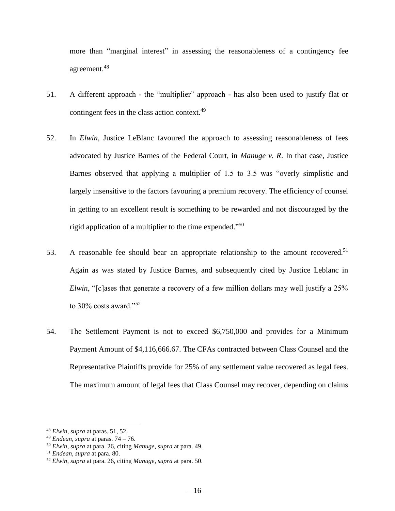more than "marginal interest" in assessing the reasonableness of a contingency fee agreement. 48

- 51. A different approach the "multiplier" approach has also been used to justify flat or contingent fees in the class action context.<sup>49</sup>
- 52. In *Elwin*, Justice LeBlanc favoured the approach to assessing reasonableness of fees advocated by Justice Barnes of the Federal Court, in *Manuge v. R*. In that case, Justice Barnes observed that applying a multiplier of 1.5 to 3.5 was "overly simplistic and largely insensitive to the factors favouring a premium recovery. The efficiency of counsel in getting to an excellent result is something to be rewarded and not discouraged by the rigid application of a multiplier to the time expended." 50
- 53. A reasonable fee should bear an appropriate relationship to the amount recovered.<sup>51</sup> Again as was stated by Justice Barnes, and subsequently cited by Justice Leblanc in *Elwin*, "[c]ases that generate a recovery of a few million dollars may well justify a 25% to  $30\%$  costs award."<sup>52</sup>
- 54. The Settlement Payment is not to exceed \$6,750,000 and provides for a Minimum Payment Amount of \$4,116,666.67. The CFAs contracted between Class Counsel and the Representative Plaintiffs provide for 25% of any settlement value recovered as legal fees. The maximum amount of legal fees that Class Counsel may recover, depending on claims

<sup>48</sup> *Elwin, supra* at paras. 51, 52.

<sup>49</sup> *Endean, supra* at paras. 74 – 76.

<sup>50</sup> *Elwin, supra* at para. 26, citing *Manuge, supra* at para. 49.

<sup>51</sup> *Endean*, *supra* at para. 80.

<sup>52</sup> *Elwin, supra* at para. 26, citing *Manuge, supra* at para. 50.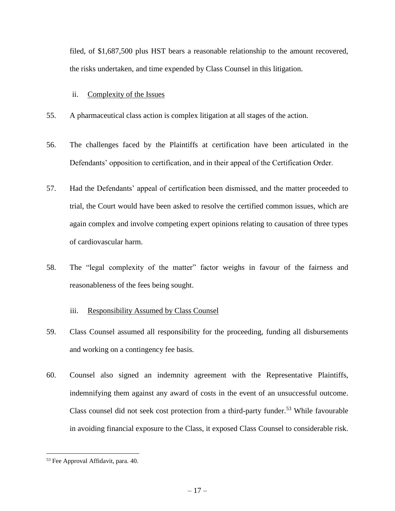filed, of \$1,687,500 plus HST bears a reasonable relationship to the amount recovered, the risks undertaken, and time expended by Class Counsel in this litigation.

#### ii. Complexity of the Issues

- <span id="page-17-0"></span>55. A pharmaceutical class action is complex litigation at all stages of the action.
- 56. The challenges faced by the Plaintiffs at certification have been articulated in the Defendants' opposition to certification, and in their appeal of the Certification Order.
- 57. Had the Defendants' appeal of certification been dismissed, and the matter proceeded to trial, the Court would have been asked to resolve the certified common issues, which are again complex and involve competing expert opinions relating to causation of three types of cardiovascular harm.
- 58. The "legal complexity of the matter" factor weighs in favour of the fairness and reasonableness of the fees being sought.
	- iii. Responsibility Assumed by Class Counsel
- <span id="page-17-1"></span>59. Class Counsel assumed all responsibility for the proceeding, funding all disbursements and working on a contingency fee basis.
- 60. Counsel also signed an indemnity agreement with the Representative Plaintiffs, indemnifying them against any award of costs in the event of an unsuccessful outcome. Class counsel did not seek cost protection from a third-party funder.<sup>53</sup> While favourable in avoiding financial exposure to the Class, it exposed Class Counsel to considerable risk.

<sup>53</sup> Fee Approval Affidavit, para. 40.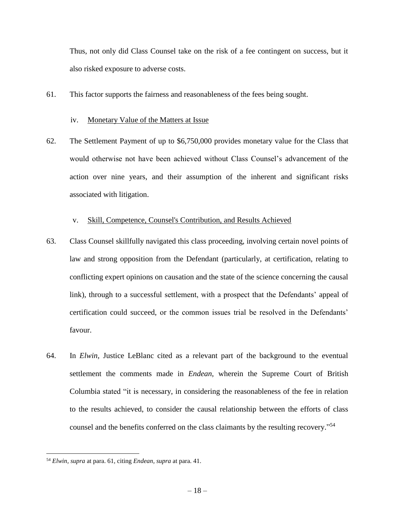Thus, not only did Class Counsel take on the risk of a fee contingent on success, but it also risked exposure to adverse costs.

61. This factor supports the fairness and reasonableness of the fees being sought.

#### iv. Monetary Value of the Matters at Issue

<span id="page-18-0"></span>62. The Settlement Payment of up to \$6,750,000 provides monetary value for the Class that would otherwise not have been achieved without Class Counsel's advancement of the action over nine years, and their assumption of the inherent and significant risks associated with litigation.

#### v. Skill, Competence, Counsel's Contribution, and Results Achieved

- <span id="page-18-1"></span>63. Class Counsel skillfully navigated this class proceeding, involving certain novel points of law and strong opposition from the Defendant (particularly, at certification, relating to conflicting expert opinions on causation and the state of the science concerning the causal link), through to a successful settlement, with a prospect that the Defendants' appeal of certification could succeed, or the common issues trial be resolved in the Defendants' favour.
- 64. In *Elwin,* Justice LeBlanc cited as a relevant part of the background to the eventual settlement the comments made in *Endean*, wherein the Supreme Court of British Columbia stated "it is necessary, in considering the reasonableness of the fee in relation to the results achieved, to consider the causal relationship between the efforts of class counsel and the benefits conferred on the class claimants by the resulting recovery." 54

<sup>54</sup> *Elwin, supra* at para. 61, citing *Endean, supra* at para. 41.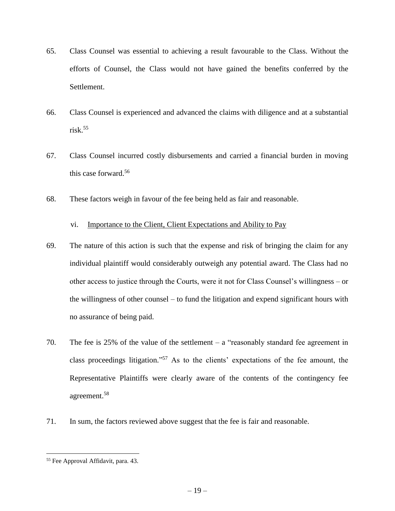- 65. Class Counsel was essential to achieving a result favourable to the Class. Without the efforts of Counsel, the Class would not have gained the benefits conferred by the Settlement.
- 66. Class Counsel is experienced and advanced the claims with diligence and at a substantial  $risk<sup>55</sup>$
- 67. Class Counsel incurred costly disbursements and carried a financial burden in moving this case forward.<sup>56</sup>
- 68. These factors weigh in favour of the fee being held as fair and reasonable.

#### vi. Importance to the Client, Client Expectations and Ability to Pay

- <span id="page-19-0"></span>69. The nature of this action is such that the expense and risk of bringing the claim for any individual plaintiff would considerably outweigh any potential award. The Class had no other access to justice through the Courts, were it not for Class Counsel's willingness – or the willingness of other counsel – to fund the litigation and expend significant hours with no assurance of being paid.
- 70. The fee is 25% of the value of the settlement  $-$  a "reasonably standard fee agreement in class proceedings litigation." <sup>57</sup> As to the clients' expectations of the fee amount, the Representative Plaintiffs were clearly aware of the contents of the contingency fee agreement. 58
- 71. In sum, the factors reviewed above suggest that the fee is fair and reasonable.

<sup>55</sup> Fee Approval Affidavit*,* para. 43.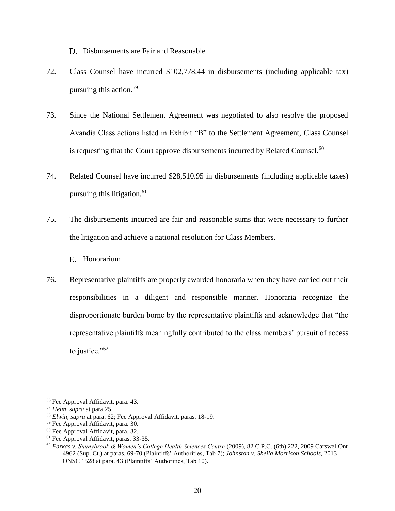D. Disbursements are Fair and Reasonable

- <span id="page-20-0"></span>72. Class Counsel have incurred \$102,778.44 in disbursements (including applicable tax) pursuing this action.<sup>59</sup>
- 73. Since the National Settlement Agreement was negotiated to also resolve the proposed Avandia Class actions listed in Exhibit "B" to the Settlement Agreement, Class Counsel is requesting that the Court approve disbursements incurred by Related Counsel.<sup>60</sup>
- 74. Related Counsel have incurred \$28,510.95 in disbursements (including applicable taxes) pursuing this litigation.<sup>61</sup>
- 75. The disbursements incurred are fair and reasonable sums that were necessary to further the litigation and achieve a national resolution for Class Members.
	- E. Honorarium
- <span id="page-20-1"></span>76. Representative plaintiffs are properly awarded honoraria when they have carried out their responsibilities in a diligent and responsible manner. Honoraria recognize the disproportionate burden borne by the representative plaintiffs and acknowledge that "the representative plaintiffs meaningfully contributed to the class members' pursuit of access to justice."<sup>62</sup>

<sup>56</sup> Fee Approval Affidavit, para. 43.

<sup>57</sup> *Helm, supra* at para 25.

<sup>58</sup> *Elwin, supra* at para. 62; Fee Approval Affidavit, paras. 18-19.

<sup>59</sup> Fee Approval Affidavit, para. 30.

<sup>60</sup> Fee Approval Affidavit, para. 32.

<sup>61</sup> Fee Approval Affidavit, paras. 33-35.

<sup>62</sup> *Farkas v. Sunnybrook & Women's College Health Sciences Centre* (2009), 82 C.P.C. (6th) 222, 2009 CarswellOnt 4962 (Sup. Ct.) at paras. 69-70 (Plaintiffs' Authorities, Tab 7); *Johnston v. Sheila Morrison Schools*, 2013 ONSC 1528 at para. 43 (Plaintiffs' Authorities, Tab 10).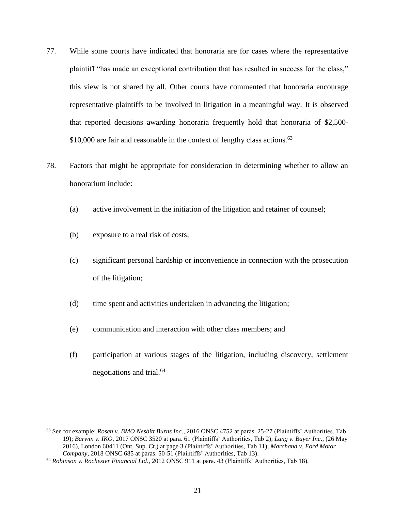- 77. While some courts have indicated that honoraria are for cases where the representative plaintiff "has made an exceptional contribution that has resulted in success for the class," this view is not shared by all. Other courts have commented that honoraria encourage representative plaintiffs to be involved in litigation in a meaningful way. It is observed that reported decisions awarding honoraria frequently hold that honoraria of \$2,500-  $$10,000$  are fair and reasonable in the context of lengthy class actions.<sup>63</sup>
- 78. Factors that might be appropriate for consideration in determining whether to allow an honorarium include:
	- (a) active involvement in the initiation of the litigation and retainer of counsel;
	- (b) exposure to a real risk of costs;

- (c) significant personal hardship or inconvenience in connection with the prosecution of the litigation;
- (d) time spent and activities undertaken in advancing the litigation;
- (e) communication and interaction with other class members; and
- (f) participation at various stages of the litigation, including discovery, settlement negotiations and trial.<sup>64</sup>

<sup>63</sup> See for example: *Rosen v. BMO Nesbitt Burns Inc*., 2016 ONSC 4752 at paras. 25-27 (Plaintiffs' Authorities, Tab 19); *Barwin v. IKO*, 2017 ONSC 3520 at para. 61 (Plaintiffs' Authorities, Tab 2); *Lang v. Bayer Inc*., (26 May 2016), London 60411 (Ont. Sup. Ct.) at page 3 (Plaintiffs' Authorities, Tab 11); *Marchand v. Ford Motor Company*, 2018 ONSC 685 at paras. 50-51 (Plaintiffs' Authorities, Tab 13).

<sup>64</sup> *Robinson v. Rochester Financial Ltd*., 2012 ONSC 911 at para. 43 (Plaintiffs' Authorities, Tab 18).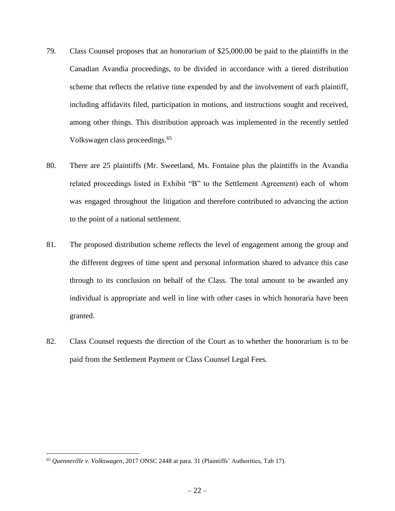- 79. Class Counsel proposes that an honorarium of \$25,000.00 be paid to the plaintiffs in the Canadian Avandia proceedings, to be divided in accordance with a tiered distribution scheme that reflects the relative time expended by and the involvement of each plaintiff, including affidavits filed, participation in motions, and instructions sought and received, among other things. This distribution approach was implemented in the recently settled Volkswagen class proceedings.<sup>65</sup>
- 80. There are 25 plaintiffs (Mr. Sweetland, Ms. Fontaine plus the plaintiffs in the Avandia related proceedings listed in Exhibit "B" to the Settlement Agreement) each of whom was engaged throughout the litigation and therefore contributed to advancing the action to the point of a national settlement.
- 81. The proposed distribution scheme reflects the level of engagement among the group and the different degrees of time spent and personal information shared to advance this case through to its conclusion on behalf of the Class. The total amount to be awarded any individual is appropriate and well in line with other cases in which honoraria have been granted.
- 82. Class Counsel requests the direction of the Court as to whether the honorarium is to be paid from the Settlement Payment or Class Counsel Legal Fees.

<sup>65</sup> *Quenneville v. Volkswagen*, 2017 ONSC 2448 at para. 31 (Plaintiffs' Authorities, Tab 17).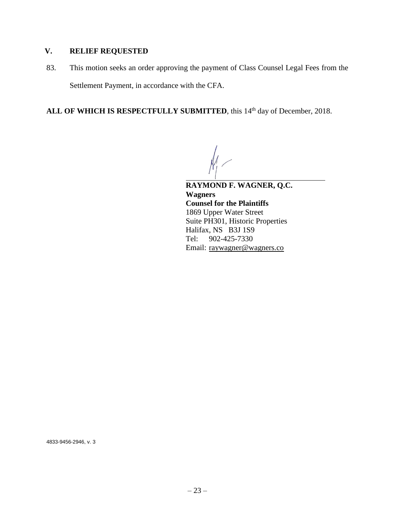# <span id="page-23-0"></span>**V. RELIEF REQUESTED**

83. This motion seeks an order approving the payment of Class Counsel Legal Fees from the Settlement Payment, in accordance with the CFA.

ALL OF WHICH IS RESPECTFULLY SUBMITTED, this 14<sup>th</sup> day of December, 2018.

l **RAYMOND F. WAGNER, Q.C. Wagners Counsel for the Plaintiffs** 1869 Upper Water Street Suite PH301, Historic Properties Halifax, NS B3J 1S9 Tel: 902-425-7330 Email: [raywagner@wagners.co](mailto:raywagner@wagners.co)

4833-9456-2946, v. 3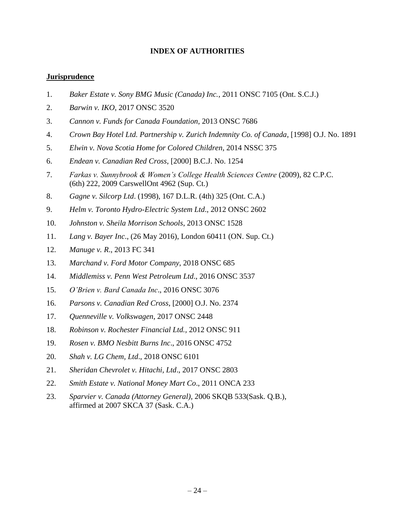### **INDEX OF AUTHORITIES**

#### **Jurisprudence**

- 1. *Baker Estate v. Sony BMG Music (Canada) Inc.*, 2011 ONSC 7105 (Ont. S.C.J.)
- 2. *Barwin v. IKO*, 2017 ONSC 3520
- 3. *Cannon v. Funds for Canada Foundation*, 2013 ONSC 7686
- 4. *Crown Bay Hotel Ltd. Partnership v. Zurich Indemnity Co. of Canada*, [1998] O.J. No. 1891
- 5. *Elwin v. Nova Scotia Home for Colored Children*, 2014 NSSC 375
- 6. *Endean v. Canadian Red Cross*, [2000] B.C.J. No. 1254
- 7. *Farkas v. Sunnybrook & Women's College Health Sciences Centre* (2009), 82 C.P.C. (6th) 222, 2009 CarswellOnt 4962 (Sup. Ct.)
- 8. *Gagne v. Silcorp Ltd*. (1998), 167 D.L.R. (4th) 325 (Ont. C.A.)
- 9. *Helm v. Toronto Hydro-Electric System Ltd*., 2012 ONSC 2602
- 10. *Johnston v. Sheila Morrison Schools*, 2013 ONSC 1528
- 11. *Lang v. Bayer Inc*., (26 May 2016), London 60411 (ON. Sup. Ct.)
- 12. *Manuge v. R*., 2013 FC 341
- 13. *Marchand v. Ford Motor Company*, 2018 ONSC 685
- 14. *Middlemiss v. Penn West Petroleum Ltd*., 2016 ONSC 3537
- 15. *O'Brien v. Bard Canada Inc*., 2016 ONSC 3076
- 16. *Parsons v. Canadian Red Cross*, [2000] O.J. No. 2374
- 17. *Quenneville v. Volkswagen*, 2017 ONSC 2448
- 18. *Robinson v. Rochester Financial Ltd.,* 2012 ONSC 911
- 19. *Rosen v. BMO Nesbitt Burns Inc*., 2016 ONSC 4752
- 20. *Shah v. LG Chem, Ltd*., 2018 ONSC 6101
- 21. *Sheridan Chevrolet v. Hitachi, Ltd*., 2017 ONSC 2803
- 22. *Smith Estate v. National Money Mart Co*., 2011 ONCA 233
- 23. *Sparvier v. Canada (Attorney General)*, 2006 SKQB 533(Sask. Q.B.), affirmed at 2007 SKCA 37 (Sask. C.A.)